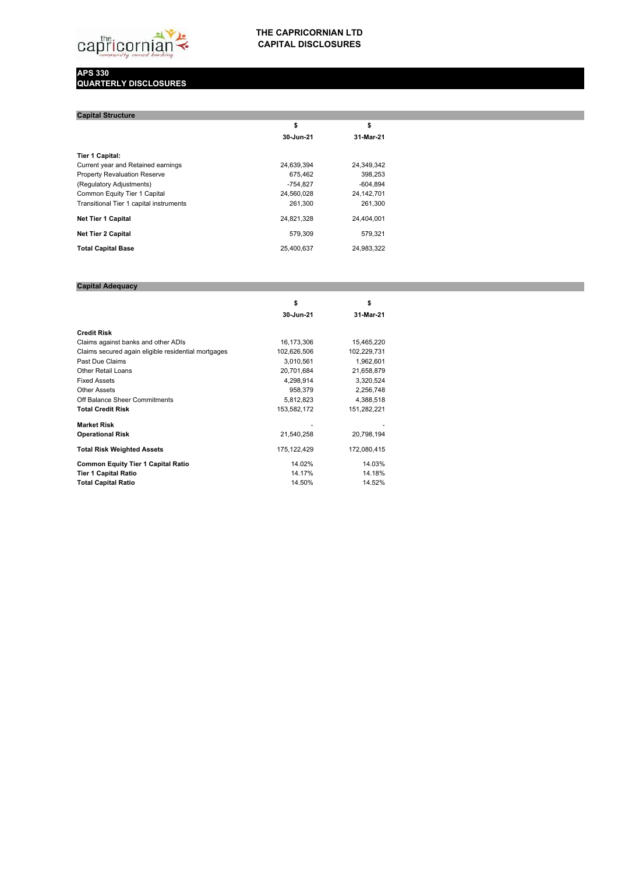

## **THE CAPRICORNIAN LTD CAPITAL DISCLOSURES**

## **APS 330 QUARTERLY DISCLOSURES**

| <b>Capital Structure</b>                |            |            |  |  |  |
|-----------------------------------------|------------|------------|--|--|--|
|                                         | \$         | \$         |  |  |  |
|                                         | 30-Jun-21  | 31-Mar-21  |  |  |  |
| <b>Tier 1 Capital:</b>                  |            |            |  |  |  |
| Current year and Retained earnings      | 24,639,394 | 24,349,342 |  |  |  |
| <b>Property Revaluation Reserve</b>     | 675.462    | 398,253    |  |  |  |
| (Regulatory Adjustments)                | $-754.827$ | $-604,894$ |  |  |  |
| Common Equity Tier 1 Capital            | 24,560,028 | 24,142,701 |  |  |  |
| Transitional Tier 1 capital instruments | 261.300    | 261,300    |  |  |  |
| <b>Net Tier 1 Capital</b>               | 24.821.328 | 24.404.001 |  |  |  |
| <b>Net Tier 2 Capital</b>               | 579.309    | 579.321    |  |  |  |
| <b>Total Capital Base</b>               | 25.400.637 | 24,983,322 |  |  |  |

## **Capital Adequacy**

|                                                     | \$          | \$          |  |
|-----------------------------------------------------|-------------|-------------|--|
|                                                     | 30-Jun-21   | 31-Mar-21   |  |
| <b>Credit Risk</b>                                  |             |             |  |
| Claims against banks and other ADIs                 | 16,173,306  | 15,465,220  |  |
| Claims secured again eligible residential mortgages | 102,626,506 | 102,229,731 |  |
| Past Due Claims                                     | 3,010,561   | 1,962,601   |  |
| <b>Other Retail Loans</b>                           | 20,701,684  | 21,658,879  |  |
| <b>Fixed Assets</b>                                 | 4,298,914   | 3,320,524   |  |
| Other Assets                                        | 958,379     | 2,256,748   |  |
| Off Balance Sheer Commitments                       | 5,812,823   | 4,388,518   |  |
| <b>Total Credit Risk</b>                            | 153,582,172 | 151,282,221 |  |
| <b>Market Risk</b>                                  |             |             |  |
| <b>Operational Risk</b>                             | 21,540,258  | 20,798,194  |  |
| <b>Total Risk Weighted Assets</b>                   | 175,122,429 | 172,080,415 |  |
| <b>Common Equity Tier 1 Capital Ratio</b>           | 14.02%      | 14.03%      |  |
| <b>Tier 1 Capital Ratio</b>                         | 14.17%      | 14.18%      |  |
| <b>Total Capital Ratio</b>                          | 14.50%      | 14.52%      |  |